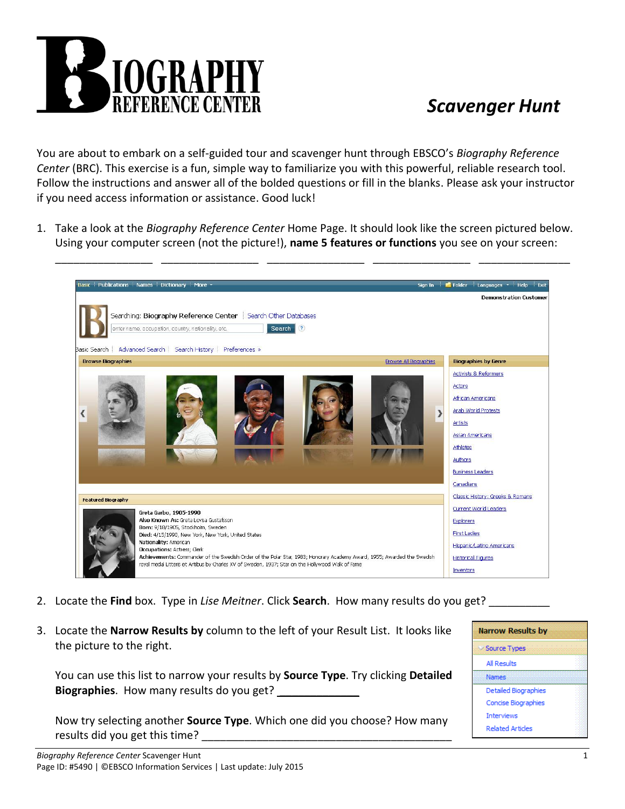

## *Scavenger Hunt*

You are about to embark on a self-guided tour and scavenger hunt through EBSCO's *Biography Reference Center* (BRC). This exercise is a fun, simple way to familiarize you with this powerful, reliable research tool. Follow the instructions and answer all of the bolded questions or fill in the blanks. Please ask your instructor if you need access information or assistance. Good luck!

1. Take a look at the *Biography Reference Center* Home Page. It should look like the screen pictured below. Using your computer screen (not the picture!), **name 5 features or functions** you see on your screen:



- 2. Locate the **Find** box. Type in *Lise Meitner*. Click **Search**. How many results do you get? \_\_\_\_\_\_\_\_\_\_
- 3. Locate the **Narrow Results by** column to the left of your Result List. It looks like the picture to the right.

You can use this list to narrow your results by **Source Type**. Try clicking **Detailed Biographies**. How many results do you get? \_\_\_\_\_\_\_\_\_\_\_\_\_

Now try selecting another **Source Type**. Which one did you choose? How many results did you get this time?

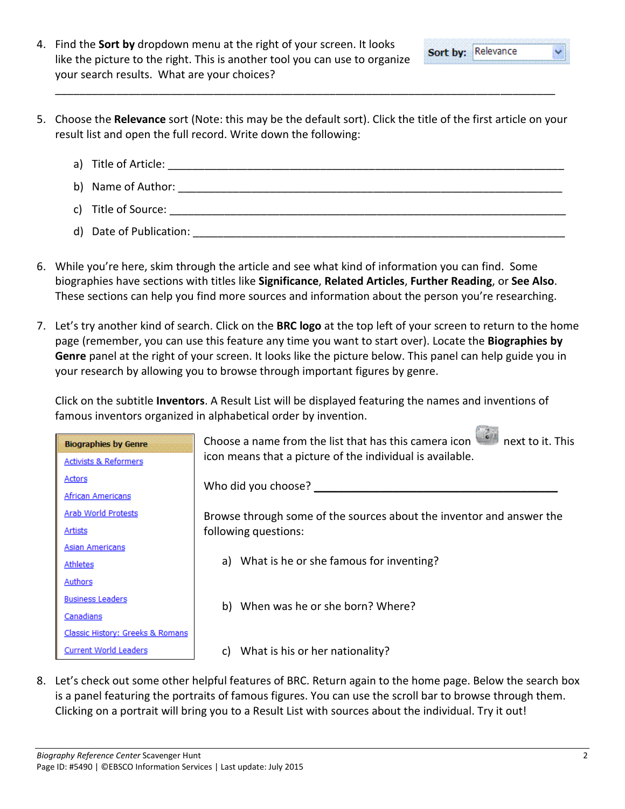- 4. Find the **Sort by** dropdown menu at the right of your screen. It looks like the picture to the right. This is another tool you can use to organize your search results. What are your choices?
- 5. Choose the **Relevance** sort (Note: this may be the default sort). Click the title of the first article on your result list and open the full record. Write down the following:

\_\_\_\_\_\_\_\_\_\_\_\_\_\_\_\_\_\_\_\_\_\_\_\_\_\_\_\_\_\_\_\_\_\_\_\_\_\_\_\_\_\_\_\_\_\_\_\_\_\_\_\_\_\_\_\_\_\_\_\_\_\_\_\_\_\_\_\_\_\_\_\_\_\_\_\_\_\_\_\_\_\_

- a) Title of Article: \_\_\_\_\_\_\_\_\_\_\_\_\_\_\_\_\_\_\_\_\_\_\_\_\_\_\_\_\_\_\_\_\_\_\_\_\_\_\_\_\_\_\_\_\_\_\_\_\_\_\_\_\_\_\_\_\_\_\_\_\_\_\_\_\_ b) Name of Author:  $\Box$ c) Title of Source:  $\Box$ d) Date of Publication: **with a set of the set of the set of the set of the set of the set of the set of the set of the set of the set of the set of the set of the set of the set of the set of the set of the set of the set**
- 6. While you're here, skim through the article and see what kind of information you can find. Some biographies have sections with titles like **Significance**, **Related Articles**, **Further Reading**, or **See Also**. These sections can help you find more sources and information about the person you're researching.
- 7. Let's try another kind of search. Click on the **BRC logo** at the top left of your screen to return to the home page (remember, you can use this feature any time you want to start over). Locate the **Biographies by Genre** panel at the right of your screen. It looks like the picture below. This panel can help guide you in your research by allowing you to browse through important figures by genre.

Click on the subtitle **Inventors**. A Result List will be displayed featuring the names and inventions of famous inventors organized in alphabetical order by invention.

| <b>Biographies by Genre</b>      | Choose a name from the list that has this camera icon<br>next to it. This |
|----------------------------------|---------------------------------------------------------------------------|
| <b>Activists &amp; Reformers</b> | icon means that a picture of the individual is available.                 |
| <b>Actors</b>                    | Who did you choose?                                                       |
| <b>African Americans</b>         |                                                                           |
| Arab World Protests              | Browse through some of the sources about the inventor and answer the      |
| Artists                          | following questions:                                                      |
| <b>Asian Americans</b>           |                                                                           |
| <b>Athletes</b>                  | a) What is he or she famous for inventing?                                |
| Authors                          |                                                                           |
| <b>Business Leaders</b>          | b) When was he or she born? Where?                                        |
| Canadians                        |                                                                           |
| Classic History: Greeks & Romans |                                                                           |
| <b>Current World Leaders</b>     | What is his or her nationality?<br>C)                                     |

8. Let's check out some other helpful features of BRC. Return again to the home page. Below the search box is a panel featuring the portraits of famous figures. You can use the scroll bar to browse through them. Clicking on a portrait will bring you to a Result List with sources about the individual. Try it out!